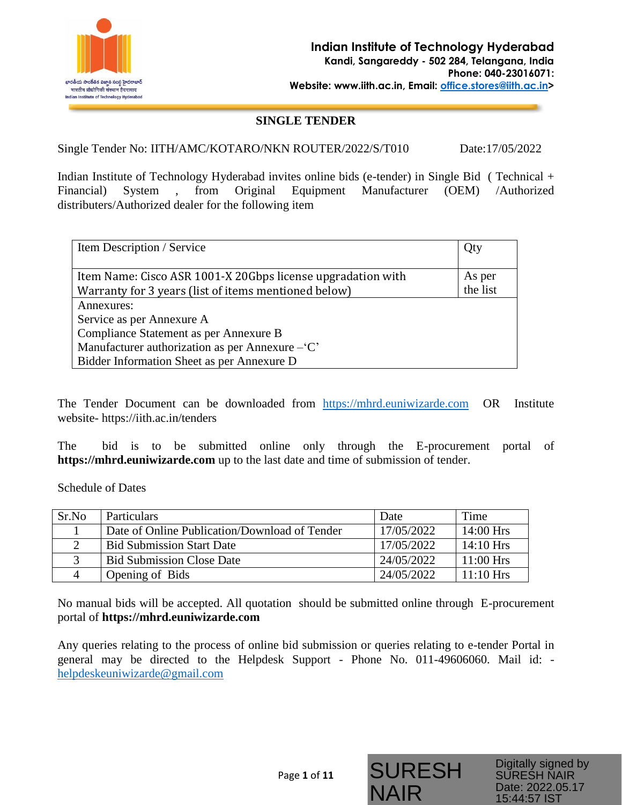

### **SINGLE TENDER**

Single Tender No: IITH/AMC/KOTARO/NKN ROUTER/2022/S/T010 Date:17/05/2022

Indian Institute of Technology Hyderabad invites online bids (e-tender) in Single Bid ( Technical + Financial) System , from Original Equipment Manufacturer (OEM) /Authorized distributers/Authorized dealer for the following item

| Item Description / Service                                  |          |
|-------------------------------------------------------------|----------|
|                                                             |          |
| Item Name: Cisco ASR 1001-X 20Gbps license upgradation with | As per   |
| Warranty for 3 years (list of items mentioned below)        | the list |
| Annexures:                                                  |          |
| Service as per Annexure A                                   |          |
| Compliance Statement as per Annexure B                      |          |
| Manufacturer authorization as per Annexure – 'C'            |          |
| Bidder Information Sheet as per Annexure D                  |          |

The Tender Document can be downloaded from [https://mhrd.euniwizarde.com](https://mhrd.euniwizarde.com/) OR Institute website- https://iith.ac.in/tenders

The bid is to be submitted online only through the E-procurement portal of **[https://mhrd.euniwizarde.com](https://mhrd.euniwizarde.com/)** up to the last date and time of submission of tender.

Schedule of Dates

| Sr.No | <b>Particulars</b>                            | Date       | Time        |
|-------|-----------------------------------------------|------------|-------------|
|       | Date of Online Publication/Download of Tender | 17/05/2022 | $14:00$ Hrs |
|       | <b>Bid Submission Start Date</b>              | 17/05/2022 | $14:10$ Hrs |
|       | <b>Bid Submission Close Date</b>              | 24/05/2022 | $11:00$ Hrs |
|       | Opening of Bids                               | 24/05/2022 | $11:10$ Hrs |

No manual bids will be accepted. All quotation should be submitted online through E-procurement portal of **[https://mhrd.euniwizarde.com](https://mhrd.euniwizarde.com/)**

Any queries relating to the process of online bid submission or queries relating to e-tender Portal in general may be directed to the Helpdesk Support - Phone No. 011-49606060. Mail id: [helpdeskeuniwizarde@gmail.com](mailto:helpdeskeuniwizarde@gmail.com)

SURESH

Digitally signed by SURESH NAIR Date: 2022.05.17 15:44:57 IST

NAIR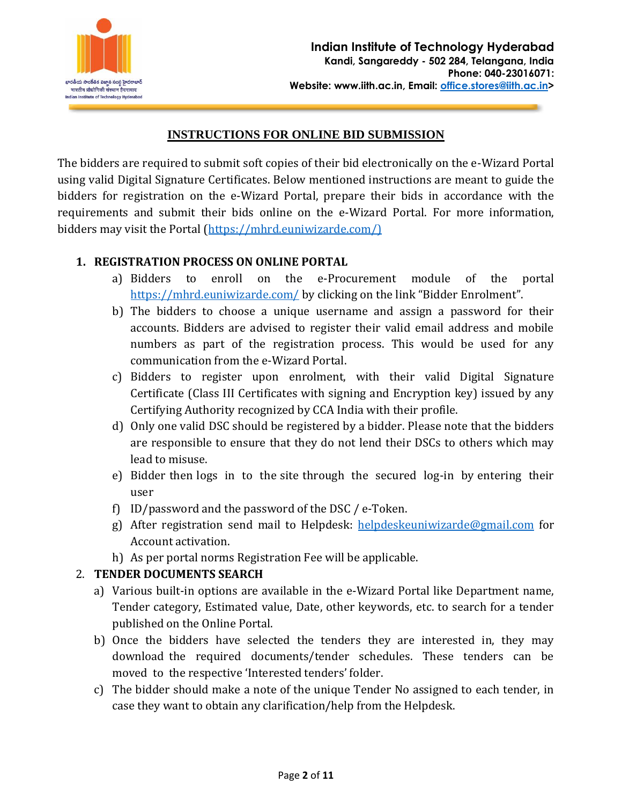

# **INSTRUCTIONS FOR ONLINE BID SUBMISSION**

The bidders are required to submit soft copies of their bid electronically on the e-Wizard Portal using valid Digital Signature Certificates. Below mentioned instructions are meant to guide the bidders for registration on the e-Wizard Portal, prepare their bids in accordance with the requirements and submit their bids online on the e-Wizard Portal. For more information, bidders may visit the Portal [\(https://mhrd.euniwizarde.com/\)](https://mhrd.euniwizarde.com/))

# **1. REGISTRATION PROCESS ON ONLINE PORTAL**

- a) Bidders to enroll on the e-Procurement module of the portal <https://mhrd.euniwizarde.com/> by clicking on the link "Bidder Enrolment".
- b) The bidders to choose a unique username and assign a password for their accounts. Bidders are advised to register their valid email address and mobile numbers as part of the registration process. This would be used for any communication from the e-Wizard Portal.
- c) Bidders to register upon enrolment, with their valid Digital Signature Certificate (Class III Certificates with signing and Encryption key) issued by any Certifying Authority recognized by CCA India with their profile.
- d) Only one valid DSC should be registered by a bidder. Please note that the bidders are responsible to ensure that they do not lend their DSCs to others which may lead to misuse.
- e) Bidder then logs in to the site through the secured log-in by entering their user
- f) ID/password and the password of the DSC / e-Token.
- g) After registration send mail to Helpdesk: [helpdeskeuniwizarde@gmail.com](mailto:helpdeskeuniwizarde@gmail.com) for Account activation.
- h) As per portal norms Registration Fee will be applicable.

# 2. **TENDER DOCUMENTS SEARCH**

- a) Various built-in options are available in the e-Wizard Portal like Department name, Tender category, Estimated value, Date, other keywords, etc. to search for a tender published on the Online Portal.
- b) Once the bidders have selected the tenders they are interested in, they may download the required documents/tender schedules. These tenders can be moved to the respective 'Interested tenders' folder.
- c) The bidder should make a note of the unique Tender No assigned to each tender, in case they want to obtain any clarification/help from the Helpdesk.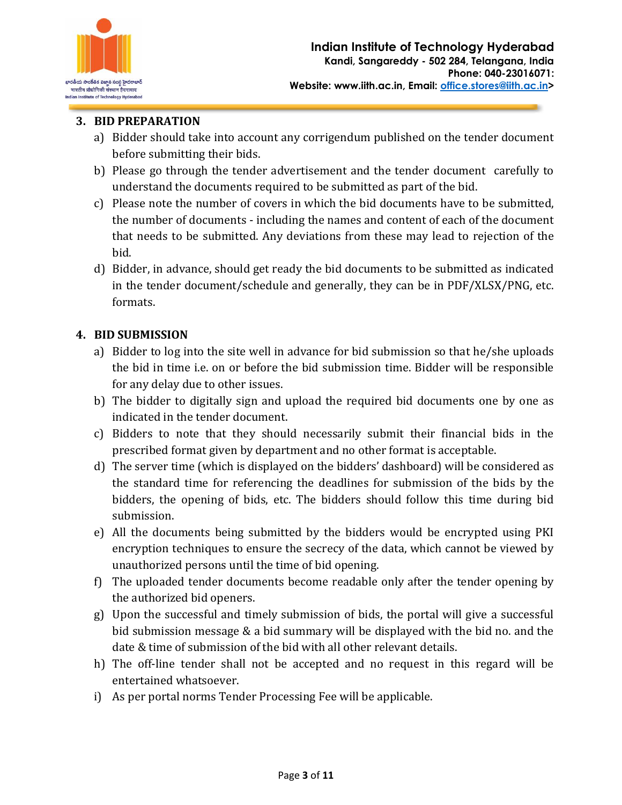

# **3. BID PREPARATION**

- a) Bidder should take into account any corrigendum published on the tender document before submitting their bids.
- b) Please go through the tender advertisement and the tender document carefully to understand the documents required to be submitted as part of the bid.
- c) Please note the number of covers in which the bid documents have to be submitted, the number of documents - including the names and content of each of the document that needs to be submitted. Any deviations from these may lead to rejection of the bid.
- d) Bidder, in advance, should get ready the bid documents to be submitted as indicated in the tender document/schedule and generally, they can be in PDF/XLSX/PNG, etc. formats.

# **4. BID SUBMISSION**

- a) Bidder to log into the site well in advance for bid submission so that he/she uploads the bid in time i.e. on or before the bid submission time. Bidder will be responsible for any delay due to other issues.
- b) The bidder to digitally sign and upload the required bid documents one by one as indicated in the tender document.
- c) Bidders to note that they should necessarily submit their financial bids in the prescribed format given by department and no other format is acceptable.
- d) The server time (which is displayed on the bidders' dashboard) will be considered as the standard time for referencing the deadlines for submission of the bids by the bidders, the opening of bids, etc. The bidders should follow this time during bid submission.
- e) All the documents being submitted by the bidders would be encrypted using PKI encryption techniques to ensure the secrecy of the data, which cannot be viewed by unauthorized persons until the time of bid opening.
- f) The uploaded tender documents become readable only after the tender opening by the authorized bid openers.
- g) Upon the successful and timely submission of bids, the portal will give a successful bid submission message & a bid summary will be displayed with the bid no. and the date & time of submission of the bid with all other relevant details.
- h) The off-line tender shall not be accepted and no request in this regard will be entertained whatsoever.
- i) As per portal norms Tender Processing Fee will be applicable.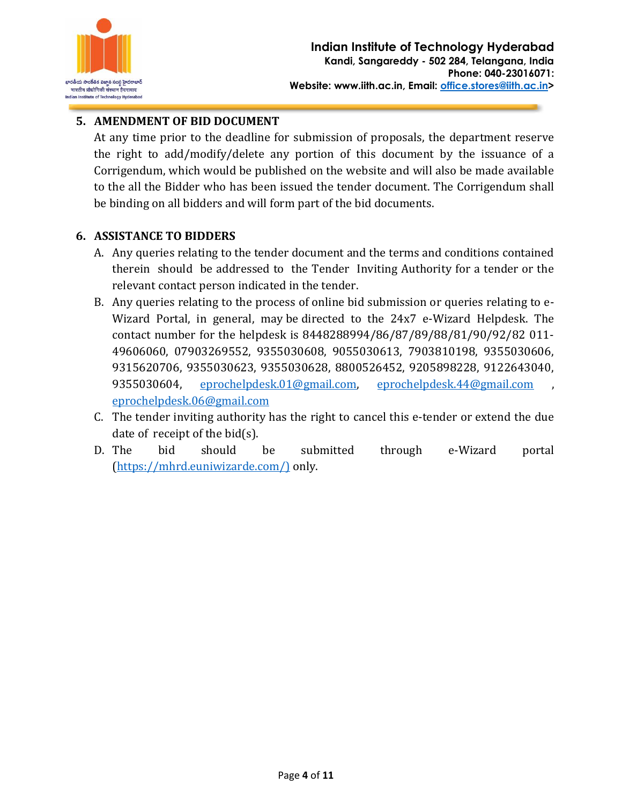

# **5. AMENDMENT OF BID DOCUMENT**

At any time prior to the deadline for submission of proposals, the department reserve the right to add/modify/delete any portion of this document by the issuance of a Corrigendum, which would be published on the website and will also be made available to the all the Bidder who has been issued the tender document. The Corrigendum shall be binding on all bidders and will form part of the bid documents.

# **6. ASSISTANCE TO BIDDERS**

- A. Any queries relating to the tender document and the terms and conditions contained therein should be addressed to the Tender Inviting Authority for a tender or the relevant contact person indicated in the tender.
- B. Any queries relating to the process of online bid submission or queries relating to e-Wizard Portal, in general, may be directed to the 24x7 e-Wizard Helpdesk. The contact number for the helpdesk is 8448288994/86/87/89/88/81/90/92/82 011- 49606060, 07903269552, 9355030608, 9055030613, 7903810198, 9355030606, 9315620706, 9355030623, 9355030628, 8800526452, 9205898228, 9122643040, 9355030604, [eprochelpdesk.01@gmail.com,](mailto:eprochelpdesk.01@gmail.com) [eprochelpdesk.44@gmail.com](mailto:eprochelpdesk.44@gmail.com) [eprochelpdesk.06@gmail.com](mailto:eprochelpdesk.06@gmail.com)
- C. The tender inviting authority has the right to cancel this e-tender or extend the due date of receipt of the bid(s).
- D. The bid should be submitted through e-Wizard portal [\(https://mhrd.euniwizarde.com/\)](https://mhrd.euniwizarde.com/)) only.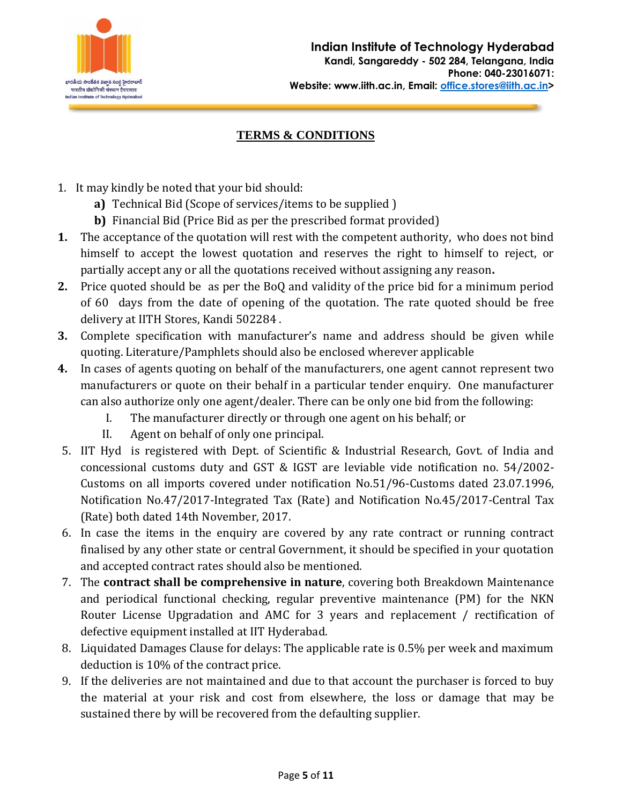

# **TERMS & CONDITIONS**

- 1. It may kindly be noted that your bid should:
	- **a)** Technical Bid (Scope of services/items to be supplied )
	- **b)** Financial Bid (Price Bid as per the prescribed format provided)
- **1.** The acceptance of the quotation will rest with the competent authority, who does not bind himself to accept the lowest quotation and reserves the right to himself to reject, or partially accept any or all the quotations received without assigning any reason**.**
- **2.** Price quoted should be as per the BoQ and validity of the price bid for a minimum period of 60 days from the date of opening of the quotation. The rate quoted should be free delivery at IITH Stores, Kandi 502284 .
- **3.** Complete specification with manufacturer's name and address should be given while quoting. Literature/Pamphlets should also be enclosed wherever applicable
- **4.** In cases of agents quoting on behalf of the manufacturers, one agent cannot represent two manufacturers or quote on their behalf in a particular tender enquiry. One manufacturer can also authorize only one agent/dealer. There can be only one bid from the following:
	- I. The manufacturer directly or through one agent on his behalf; or
	- II. Agent on behalf of only one principal.
- 5. IIT Hyd is registered with Dept. of Scientific & Industrial Research, Govt. of India and concessional customs duty and GST & IGST are leviable vide notification no. 54/2002- Customs on all imports covered under notification No.51/96-Customs dated 23.07.1996, Notification No.47/2017-Integrated Tax (Rate) and Notification No.45/2017-Central Tax (Rate) both dated 14th November, 2017.
- 6. In case the items in the enquiry are covered by any rate contract or running contract finalised by any other state or central Government, it should be specified in your quotation and accepted contract rates should also be mentioned.
- 7. The **contract shall be comprehensive in nature**, covering both Breakdown Maintenance and periodical functional checking, regular preventive maintenance (PM) for the NKN Router License Upgradation and AMC for 3 years and replacement / rectification of defective equipment installed at IIT Hyderabad.
- 8. Liquidated Damages Clause for delays: The applicable rate is 0.5% per week and maximum deduction is 10% of the contract price.
- 9. If the deliveries are not maintained and due to that account the purchaser is forced to buy the material at your risk and cost from elsewhere, the loss or damage that may be sustained there by will be recovered from the defaulting supplier.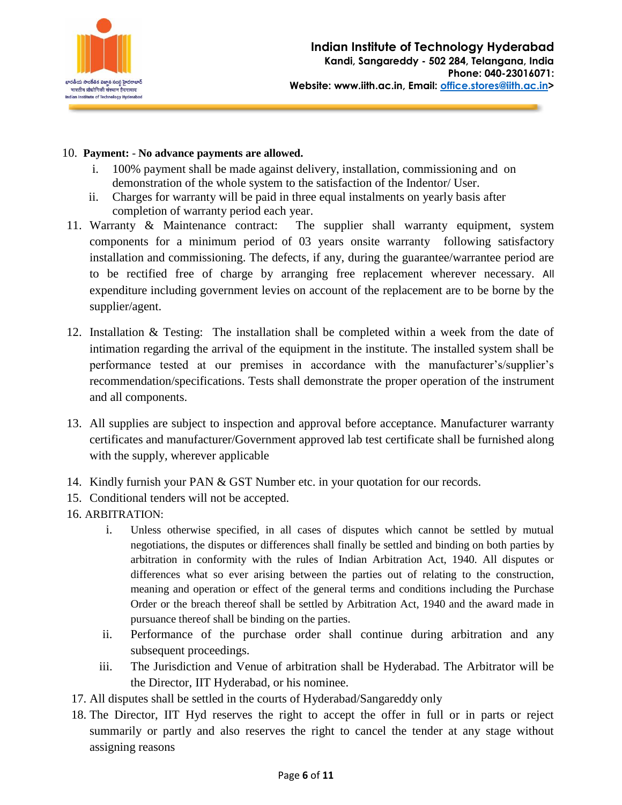

#### 10. **Payment:** - **No advance payments are allowed.**

- i. 100% payment shall be made against delivery, installation, commissioning and on demonstration of the whole system to the satisfaction of the Indentor/ User.
- ii. Charges for warranty will be paid in three equal instalments on yearly basis after completion of warranty period each year.
- 11. Warranty & Maintenance contract: The supplier shall warranty equipment, system components for a minimum period of 03 years onsite warranty following satisfactory installation and commissioning. The defects, if any, during the guarantee/warrantee period are to be rectified free of charge by arranging free replacement wherever necessary. All expenditure including government levies on account of the replacement are to be borne by the supplier/agent.
- 12. Installation & Testing: The installation shall be completed within a week from the date of intimation regarding the arrival of the equipment in the institute. The installed system shall be performance tested at our premises in accordance with the manufacturer's/supplier's recommendation/specifications. Tests shall demonstrate the proper operation of the instrument and all components.
- 13. All supplies are subject to inspection and approval before acceptance. Manufacturer warranty certificates and manufacturer/Government approved lab test certificate shall be furnished along with the supply, wherever applicable
- 14. Kindly furnish your PAN & GST Number etc. in your quotation for our records.
- 15. Conditional tenders will not be accepted.
- 16. ARBITRATION:
	- i. Unless otherwise specified, in all cases of disputes which cannot be settled by mutual negotiations, the disputes or differences shall finally be settled and binding on both parties by arbitration in conformity with the rules of Indian Arbitration Act, 1940. All disputes or differences what so ever arising between the parties out of relating to the construction, meaning and operation or effect of the general terms and conditions including the Purchase Order or the breach thereof shall be settled by Arbitration Act, 1940 and the award made in pursuance thereof shall be binding on the parties.
	- ii. Performance of the purchase order shall continue during arbitration and any subsequent proceedings.
	- iii. The Jurisdiction and Venue of arbitration shall be Hyderabad. The Arbitrator will be the Director, IIT Hyderabad, or his nominee.
- 17. All disputes shall be settled in the courts of Hyderabad/Sangareddy only
- 18. The Director, IIT Hyd reserves the right to accept the offer in full or in parts or reject summarily or partly and also reserves the right to cancel the tender at any stage without assigning reasons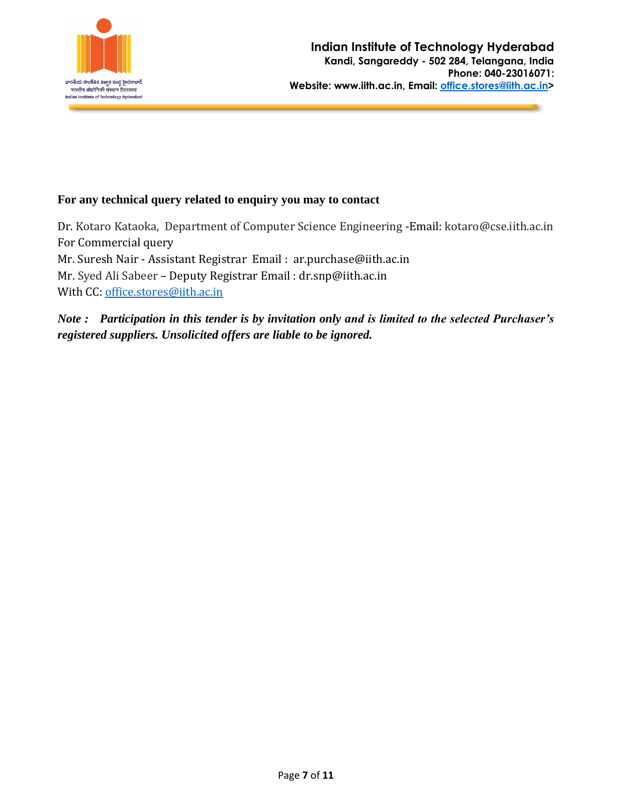

### **For any technical query related to enquiry you may to contact**

Dr. Kotaro Kataoka, Department of Computer Science Engineering -Email: kotaro@cse.iith.ac.in For Commercial query Mr. Suresh Nair - Assistant Registrar Email : [ar.purchase@iith.ac.in](mailto:ar.purchase@iith.ac.in) Mr. Syed Ali Sabeer – Deputy Registrar Email : [dr.snp@iith.ac.in](mailto:dr.snp@iith.ac.in) With CC: [office.stores@iith.ac.in](mailto:office.stores@iith.ac.in)

*Note : Participation in this tender is by invitation only and is limited to the selected Purchaser's registered suppliers. Unsolicited offers are liable to be ignored.*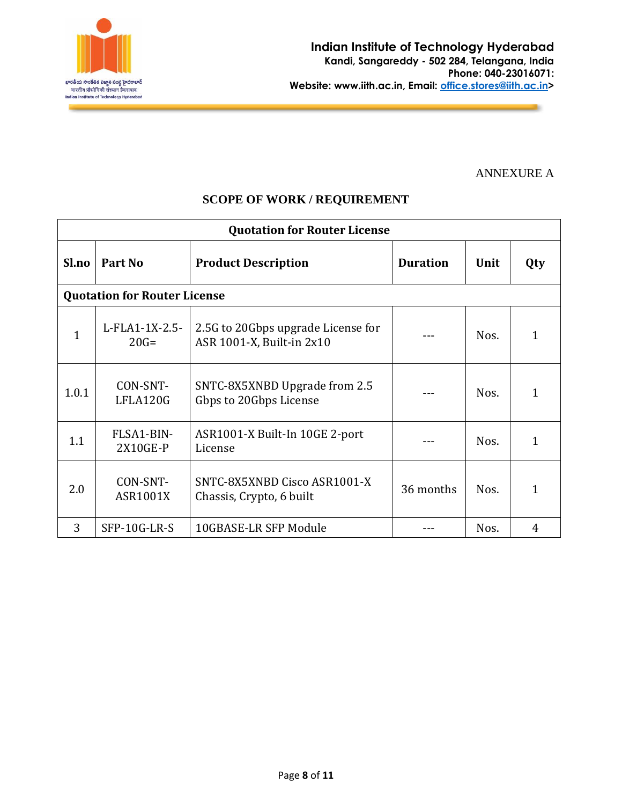

### ANNEXURE A

# **SCOPE OF WORK / REQUIREMENT**

| <b>Quotation for Router License</b> |                                     |                                                                 |                 |      |     |
|-------------------------------------|-------------------------------------|-----------------------------------------------------------------|-----------------|------|-----|
| Sl.no                               | Part No                             | <b>Product Description</b>                                      | <b>Duration</b> | Unit | Qty |
|                                     | <b>Quotation for Router License</b> |                                                                 |                 |      |     |
| $\mathbf{1}$                        | L-FLA1-1X-2.5-<br>$20G =$           | 2.5G to 20Gbps upgrade License for<br>ASR 1001-X, Built-in 2x10 |                 | Nos. | 1   |
| 1.0.1                               | CON-SNT-<br>LFLA120G                | SNTC-8X5XNBD Upgrade from 2.5<br>Gbps to 20Gbps License         |                 | Nos. | 1   |
| 1.1                                 | FLSA1-BIN-<br>2X10GE-P              | ASR1001-X Built-In 10GE 2-port<br>License                       |                 | Nos. | 1   |
| 2.0                                 | CON-SNT-<br><b>ASR1001X</b>         | SNTC-8X5XNBD Cisco ASR1001-X<br>Chassis, Crypto, 6 built        | 36 months       | Nos. | 1   |
| 3                                   | SFP-10G-LR-S                        | 10GBASE-LR SFP Module                                           |                 | Nos. | 4   |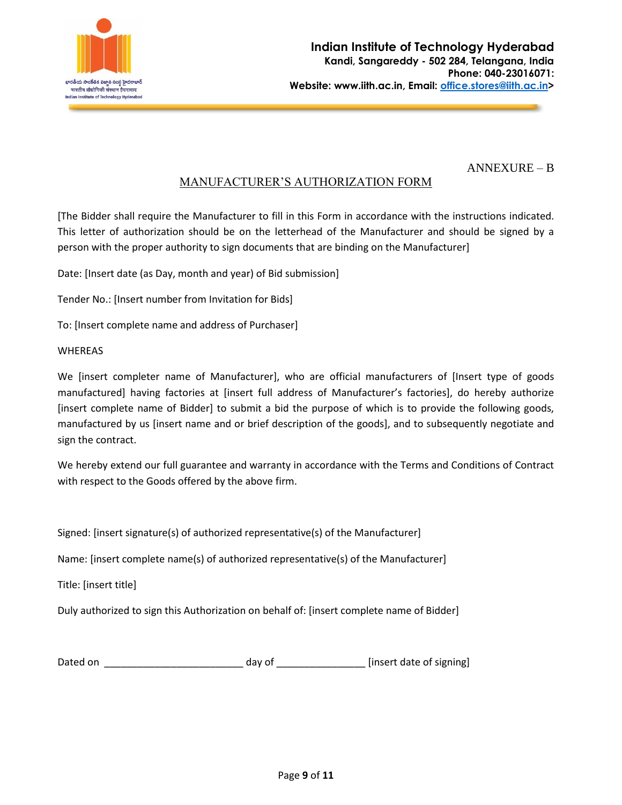

### ANNEXURE – B

# MANUFACTURER'S AUTHORIZATION FORM

[The Bidder shall require the Manufacturer to fill in this Form in accordance with the instructions indicated. This letter of authorization should be on the letterhead of the Manufacturer and should be signed by a person with the proper authority to sign documents that are binding on the Manufacturer]

Date: [Insert date (as Day, month and year) of Bid submission]

Tender No.: [Insert number from Invitation for Bids]

To: [Insert complete name and address of Purchaser]

#### WHEREAS

We [insert completer name of Manufacturer], who are official manufacturers of [Insert type of goods manufactured] having factories at [insert full address of Manufacturer's factories], do hereby authorize [insert complete name of Bidder] to submit a bid the purpose of which is to provide the following goods, manufactured by us [insert name and or brief description of the goods], and to subsequently negotiate and sign the contract.

We hereby extend our full guarantee and warranty in accordance with the Terms and Conditions of Contract with respect to the Goods offered by the above firm.

Signed: [insert signature(s) of authorized representative(s) of the Manufacturer]

Name: [insert complete name(s) of authorized representative(s) of the Manufacturer]

Title: [insert title]

Duly authorized to sign this Authorization on behalf of: [insert complete name of Bidder]

| Dated on | dav ol | [insert date of signing] |  |
|----------|--------|--------------------------|--|
|----------|--------|--------------------------|--|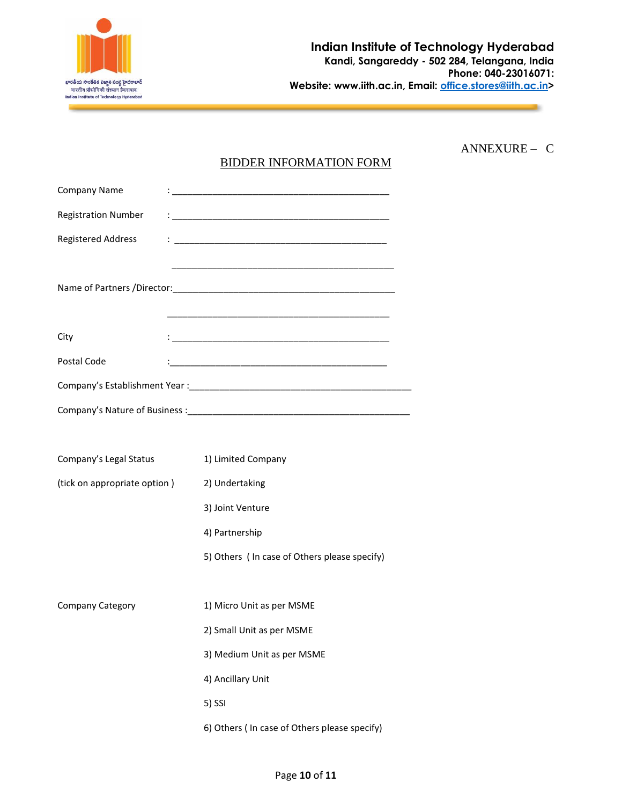

ANNEXURE – C

# BIDDER INFORMATION FORM

| <b>Company Name</b>          | <u> : la contradicto de la contradicto de la contradicto de la contradicto de la contradicto de la contradicto de</u>                                                                                                                                                                                                                                                                                                                      |
|------------------------------|--------------------------------------------------------------------------------------------------------------------------------------------------------------------------------------------------------------------------------------------------------------------------------------------------------------------------------------------------------------------------------------------------------------------------------------------|
| <b>Registration Number</b>   | $\mathbf{1}_{\mathbf{1}_{\mathbf{1}_{\mathbf{1}}\mathbf{1}_{\mathbf{2}}\mathbf{1}_{\mathbf{3}}\mathbf{1}_{\mathbf{3}}\mathbf{1}_{\mathbf{4}}\mathbf{1}_{\mathbf{5}}\mathbf{1}_{\mathbf{6}}\mathbf{1}_{\mathbf{7}_{\mathbf{1}}\mathbf{1}_{\mathbf{2}}\mathbf{1}_{\mathbf{3}}\mathbf{1}_{\mathbf{4}}\mathbf{1}_{\mathbf{5}}\mathbf{1}_{\mathbf{6}}\mathbf{1}_{\mathbf{7}_{\mathbf{1}}\mathbf{1}_{\mathbf{3}}\mathbf{1}_{\mathbf{6}}\mathbf{$ |
| <b>Registered Address</b>    |                                                                                                                                                                                                                                                                                                                                                                                                                                            |
|                              |                                                                                                                                                                                                                                                                                                                                                                                                                                            |
|                              |                                                                                                                                                                                                                                                                                                                                                                                                                                            |
|                              |                                                                                                                                                                                                                                                                                                                                                                                                                                            |
| City                         |                                                                                                                                                                                                                                                                                                                                                                                                                                            |
| Postal Code                  |                                                                                                                                                                                                                                                                                                                                                                                                                                            |
|                              |                                                                                                                                                                                                                                                                                                                                                                                                                                            |
|                              |                                                                                                                                                                                                                                                                                                                                                                                                                                            |
|                              |                                                                                                                                                                                                                                                                                                                                                                                                                                            |
| Company's Legal Status       | 1) Limited Company                                                                                                                                                                                                                                                                                                                                                                                                                         |
| (tick on appropriate option) | 2) Undertaking                                                                                                                                                                                                                                                                                                                                                                                                                             |
|                              | 3) Joint Venture                                                                                                                                                                                                                                                                                                                                                                                                                           |
|                              | 4) Partnership                                                                                                                                                                                                                                                                                                                                                                                                                             |
|                              | 5) Others ( In case of Others please specify)                                                                                                                                                                                                                                                                                                                                                                                              |
|                              |                                                                                                                                                                                                                                                                                                                                                                                                                                            |
| <b>Company Category</b>      | 1) Micro Unit as per MSME                                                                                                                                                                                                                                                                                                                                                                                                                  |
|                              | 2) Small Unit as per MSME                                                                                                                                                                                                                                                                                                                                                                                                                  |
|                              | 3) Medium Unit as per MSME                                                                                                                                                                                                                                                                                                                                                                                                                 |
|                              | 4) Ancillary Unit                                                                                                                                                                                                                                                                                                                                                                                                                          |
|                              | 5) SSI                                                                                                                                                                                                                                                                                                                                                                                                                                     |
|                              | 6) Others ( In case of Others please specify)                                                                                                                                                                                                                                                                                                                                                                                              |